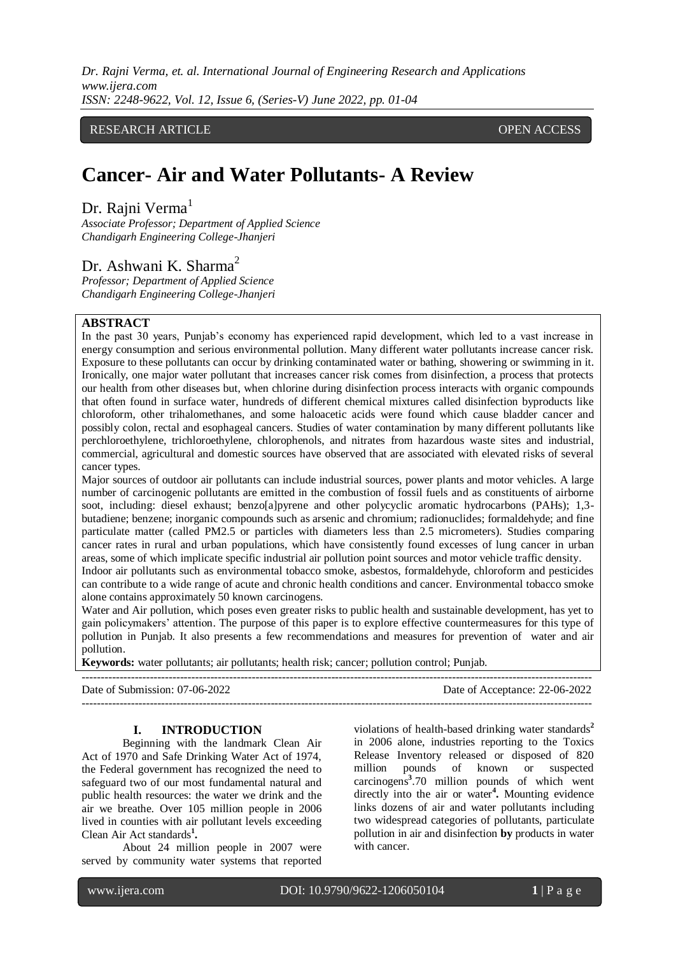*Dr. Rajni Verma, et. al. International Journal of Engineering Research and Applications www.ijera.com ISSN: 2248-9622, Vol. 12, Issue 6, (Series-V) June 2022, pp. 01-04*

RESEARCH ARTICLE **CONTRACT ARTICLE** AND A SERVICE OPEN ACCESS OF A SERVICE OF A SERVICE OPEN ACCESS OF A SERVICE OF A SERVICE OF A SERVICE OF A SERVICE OF A SERVICE OF A SERVICE OF A SERVICE OF A SERVICE OF A SERVICE OF A

# **Cancer- Air and Water Pollutants- A Review**

Dr. Raini Verma<sup>1</sup>

*Associate Professor; Department of Applied Science Chandigarh Engineering College-Jhanjeri*

# Dr. Ashwani K. Sharma<sup>2</sup>

*Professor; Department of Applied Science Chandigarh Engineering College-Jhanjeri*

## **ABSTRACT**

In the past 30 years, Punjab's economy has experienced rapid development, which led to a vast increase in energy consumption and serious environmental pollution. Many different water pollutants increase cancer risk. Exposure to these pollutants can occur by drinking contaminated water or bathing, showering or swimming in it. Ironically, one major water pollutant that increases cancer risk comes from disinfection, a process that protects our health from other diseases but, when chlorine during disinfection process interacts with organic compounds that often found in surface water, hundreds of different chemical mixtures called disinfection byproducts like chloroform, other trihalomethanes, and some haloacetic acids were found which cause bladder cancer and possibly colon, rectal and esophageal cancers. Studies of water contamination by many different pollutants like perchloroethylene, trichloroethylene, chlorophenols, and nitrates from hazardous waste sites and industrial, commercial, agricultural and domestic sources have observed that are associated with elevated risks of several cancer types.

Major sources of outdoor air pollutants can include industrial sources, power plants and motor vehicles. A large number of carcinogenic pollutants are emitted in the combustion of fossil fuels and as constituents of airborne soot, including: diesel exhaust; benzo[a]pyrene and other polycyclic aromatic hydrocarbons (PAHs); 1,3butadiene; benzene; inorganic compounds such as arsenic and chromium; radionuclides; formaldehyde; and fine particulate matter (called PM2.5 or particles with diameters less than 2.5 micrometers). Studies comparing cancer rates in rural and urban populations, which have consistently found excesses of lung cancer in urban areas, some of which implicate specific industrial air pollution point sources and motor vehicle traffic density. Indoor air pollutants such as environmental tobacco smoke, asbestos, formaldehyde, chloroform and pesticides

can contribute to a wide range of acute and chronic health conditions and cancer. Environmental tobacco smoke alone contains approximately 50 known carcinogens.

Water and Air pollution, which poses even greater risks to public health and sustainable development, has yet to gain policymakers' attention. The purpose of this paper is to explore effective countermeasures for this type of pollution in Punjab. It also presents a few recommendations and measures for prevention of water and air pollution.

---------------------------------------------------------------------------------------------------------------------------------------

---------------------------------------------------------------------------------------------------------------------------------------

**Keywords:** water pollutants; air pollutants; health risk; cancer; pollution control; Punjab.

Date of Submission: 07-06-2022 Date of Acceptance: 22-06-2022

**I. INTRODUCTION**

Beginning with the landmark Clean Air Act of 1970 and Safe Drinking Water Act of 1974, the Federal government has recognized the need to safeguard two of our most fundamental natural and public health resources: the water we drink and the air we breathe. Over 105 million people in 2006 lived in counties with air pollutant levels exceeding Clean Air Act standards**<sup>1</sup> .**

About 24 million people in 2007 were served by community water systems that reported violations of health-based drinking water standards**<sup>2</sup>** in 2006 alone, industries reporting to the Toxics Release Inventory released or disposed of 820 million pounds of known or suspected carcinogens**<sup>3</sup>** .70 million pounds of which went directly into the air or water**<sup>4</sup> .** Mounting evidence links dozens of air and water pollutants including two widespread categories of pollutants, particulate pollution in air and disinfection **by** products in water with cancer.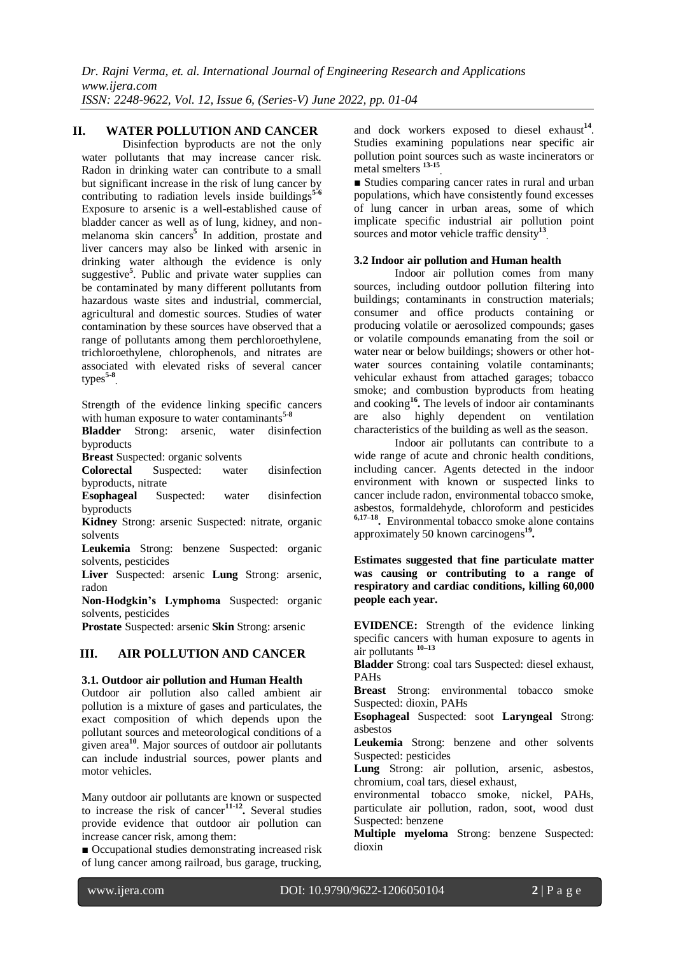# **II. WATER POLLUTION AND CANCER**

Disinfection byproducts are not the only water pollutants that may increase cancer risk. Radon in drinking water can contribute to a small but significant increase in the risk of lung cancer by contributing to radiation levels inside buildings**5-6** Exposure to arsenic is a well-established cause of bladder cancer as well as of lung, kidney, and nonmelanoma skin cancers**<sup>5</sup>** In addition, prostate and liver cancers may also be linked with arsenic in drinking water although the evidence is only suggestive<sup>5</sup>. Public and private water supplies can be contaminated by many different pollutants from hazardous waste sites and industrial, commercial, agricultural and domestic sources. Studies of water contamination by these sources have observed that a range of pollutants among them perchloroethylene, trichloroethylene, chlorophenols, and nitrates are associated with elevated risks of several cancer types**5-8 .**

Strength of the evidence linking specific cancers with human exposure to water contaminants<sup>5-8</sup>

**Bladder** Strong: arsenic, water disinfection byproducts

**Breast** Suspected: organic solvents

**Colorectal** Suspected: water disinfection byproducts, nitrate

**Esophageal** Suspected: water disinfection byproducts

**Kidney** Strong: arsenic Suspected: nitrate, organic solvents

**Leukemia** Strong: benzene Suspected: organic solvents, pesticides

**Liver** Suspected: arsenic **Lung** Strong: arsenic, radon

**Non-Hodgkin's Lymphoma** Suspected: organic solvents, pesticides

**Prostate** Suspected: arsenic **Skin** Strong: arsenic

## **III. AIR POLLUTION AND CANCER**

## **3.1. Outdoor air pollution and Human Health**

Outdoor air pollution also called ambient air pollution is a mixture of gases and particulates, the exact composition of which depends upon the pollutant sources and meteorological conditions of a given area**<sup>10</sup>** . Major sources of outdoor air pollutants can include industrial sources, power plants and motor vehicles.

Many outdoor air pollutants are known or suspected to increase the risk of cancer**11-12 .** Several studies provide evidence that outdoor air pollution can increase cancer risk, among them:

■ Occupational studies demonstrating increased risk of lung cancer among railroad, bus garage, trucking,

and dock workers exposed to diesel exhaust<sup>14</sup>. Studies examining populations near specific air pollution point sources such as waste incinerators or metal smelters **13-15 .**

■ Studies comparing cancer rates in rural and urban populations, which have consistently found excesses of lung cancer in urban areas, some of which implicate specific industrial air pollution point sources and motor vehicle traffic density**<sup>13</sup> .**

#### **3.2 Indoor air pollution and Human health**

Indoor air pollution comes from many sources, including outdoor pollution filtering into buildings; contaminants in construction materials; consumer and office products containing or producing volatile or aerosolized compounds; gases or volatile compounds emanating from the soil or water near or below buildings; showers or other hotwater sources containing volatile contaminants; vehicular exhaust from attached garages; tobacco smoke; and combustion byproducts from heating and cooking**<sup>16</sup> .** The levels of indoor air contaminants are also highly dependent on ventilation characteristics of the building as well as the season.

Indoor air pollutants can contribute to a wide range of acute and chronic health conditions, including cancer. Agents detected in the indoor environment with known or suspected links to cancer include radon, environmental tobacco smoke, asbestos, formaldehyde, chloroform and pesticides **6,17–18 .** Environmental tobacco smoke alone contains approximately 50 known carcinogens**<sup>19</sup> .**

**Estimates suggested that fine particulate matter was causing or contributing to a range of respiratory and cardiac conditions, killing 60,000 people each year.**

**EVIDENCE:** Strength of the evidence linking specific cancers with human exposure to agents in air pollutants **10–13**

**Bladder** Strong: coal tars Suspected: diesel exhaust, PAHs

**Breast** Strong: environmental tobacco smoke Suspected: dioxin, PAHs

**Esophageal** Suspected: soot **Laryngeal** Strong: asbestos

**Leukemia** Strong: benzene and other solvents Suspected: pesticides

**Lung** Strong: air pollution, arsenic, asbestos, chromium, coal tars, diesel exhaust,

environmental tobacco smoke, nickel, PAHs, particulate air pollution, radon, soot, wood dust Suspected: benzene

**Multiple myeloma** Strong: benzene Suspected: dioxin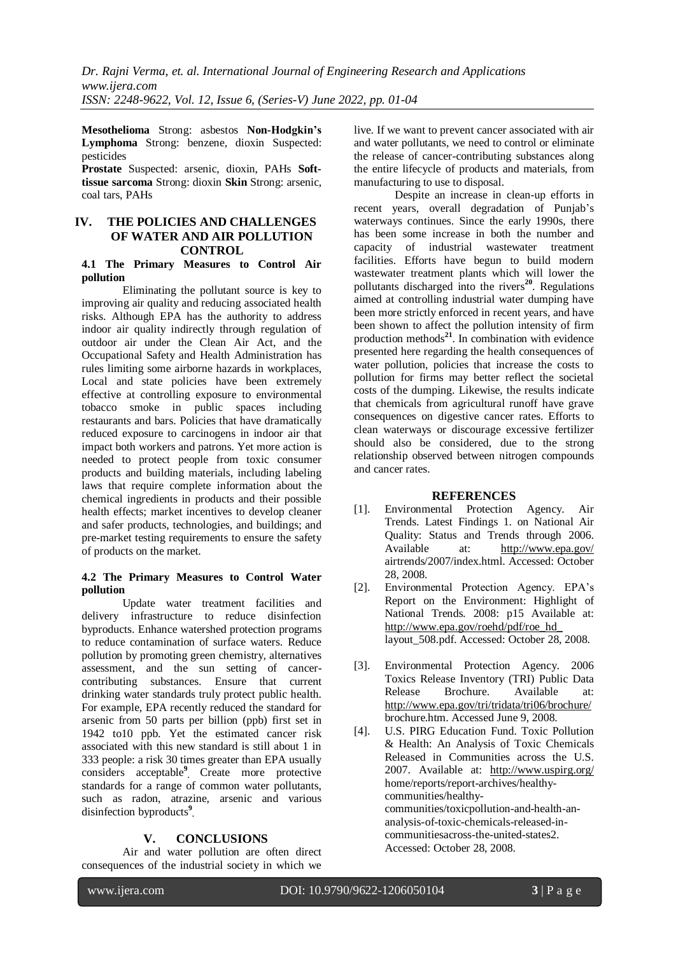**Mesothelioma** Strong: asbestos **Non-Hodgkin's Lymphoma** Strong: benzene, dioxin Suspected: pesticides

**Prostate** Suspected: arsenic, dioxin, PAHs **Softtissue sarcoma** Strong: dioxin **Skin** Strong: arsenic, coal tars, PAHs

# **IV. THE POLICIES AND CHALLENGES OF WATER AND AIR POLLUTION CONTROL**

## **4.1 The Primary Measures to Control Air pollution**

Eliminating the pollutant source is key to improving air quality and reducing associated health risks. Although EPA has the authority to address indoor air quality indirectly through regulation of outdoor air under the Clean Air Act, and the Occupational Safety and Health Administration has rules limiting some airborne hazards in workplaces, Local and state policies have been extremely effective at controlling exposure to environmental tobacco smoke in public spaces including restaurants and bars. Policies that have dramatically reduced exposure to carcinogens in indoor air that impact both workers and patrons. Yet more action is needed to protect people from toxic consumer products and building materials, including labeling laws that require complete information about the chemical ingredients in products and their possible health effects; market incentives to develop cleaner and safer products, technologies, and buildings; and pre-market testing requirements to ensure the safety of products on the market.

#### **4.2 The Primary Measures to Control Water pollution**

Update water treatment facilities and delivery infrastructure to reduce disinfection byproducts. Enhance watershed protection programs to reduce contamination of surface waters. Reduce pollution by promoting green chemistry, alternatives assessment, and the sun setting of cancercontributing substances. Ensure that current drinking water standards truly protect public health. For example, EPA recently reduced the standard for arsenic from 50 parts per billion (ppb) first set in 1942 to10 ppb. Yet the estimated cancer risk associated with this new standard is still about 1 in 333 people: a risk 30 times greater than EPA usually considers acceptable**<sup>9</sup> .** Create more protective standards for a range of common water pollutants, such as radon, atrazine, arsenic and various disinfection byproducts**<sup>9</sup> .**

# **V. CONCLUSIONS**

Air and water pollution are often direct consequences of the industrial society in which we

live. If we want to prevent cancer associated with air and water pollutants, we need to control or eliminate the release of cancer-contributing substances along the entire lifecycle of products and materials, from manufacturing to use to disposal.

Despite an increase in clean-up efforts in recent years, overall degradation of Punjab's waterways continues. Since the early 1990s, there has been some increase in both the number and capacity of industrial wastewater treatment facilities. Efforts have begun to build modern wastewater treatment plants which will lower the pollutants discharged into the rivers**<sup>20</sup>**. Regulations aimed at controlling industrial water dumping have been more strictly enforced in recent years, and have been shown to affect the pollution intensity of firm production methods**<sup>21</sup>**. In combination with evidence presented here regarding the health consequences of water pollution, policies that increase the costs to pollution for firms may better reflect the societal costs of the dumping. Likewise, the results indicate that chemicals from agricultural runoff have grave consequences on digestive cancer rates. Efforts to clean waterways or discourage excessive fertilizer should also be considered, due to the strong relationship observed between nitrogen compounds and cancer rates.

# **REFERENCES**

- [1]. Environmental Protection Agency. Air Trends. Latest Findings 1. on National Air Quality: Status and Trends through 2006. Available at: <http://www.epa.gov/> airtrends/2007/index.html. Accessed: October 28, 2008.
- [2]. Environmental Protection Agency. EPA's Report on the Environment: Highlight of National Trends. 2008: p15 Available at: [http://www.epa.gov/roehd/pdf/roe\\_hd\\_](http://www.epa.gov/roehd/pdf/roe_hd_) layout\_508.pdf. Accessed: October 28, 2008.
- [3]. Environmental Protection Agency. 2006 Toxics Release Inventory (TRI) Public Data Release Brochure. Available at: <http://www.epa.gov/tri/tridata/tri06/brochure/> brochure.htm. Accessed June 9, 2008.
- [4]. U.S. PIRG Education Fund. Toxic Pollution & Health: An Analysis of Toxic Chemicals Released in Communities across the U.S. 2007. Available at: <http://www.uspirg.org/> home/reports/report-archives/healthycommunities/healthycommunities/toxicpollution-and-health-ananalysis-of-toxic-chemicals-released-incommunitiesacross-the-united-states2. Accessed: October 28, 2008.